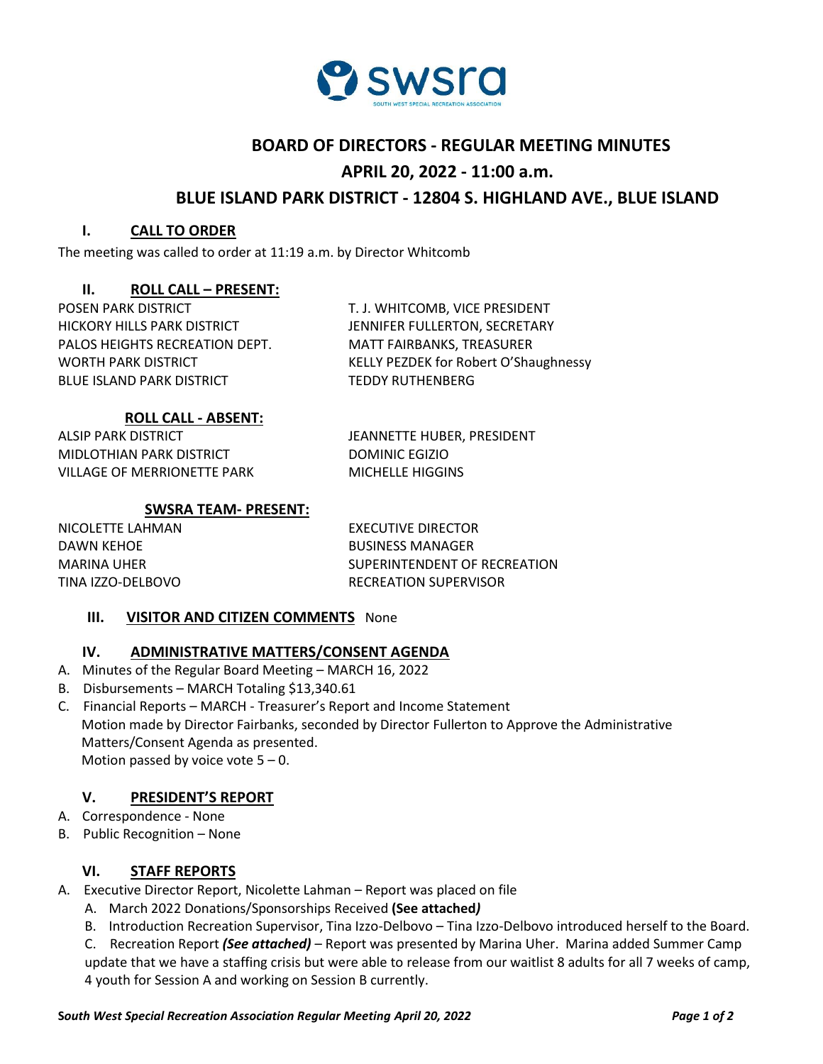

# **BOARD OF DIRECTORS - REGULAR MEETING MINUTES**

# **APRIL 20, 2022 - 11:00 a.m.**

# **BLUE ISLAND PARK DISTRICT - 12804 S. HIGHLAND AVE., BLUE ISLAND**

### **I. CALL TO ORDER**

The meeting was called to order at 11:19 a.m. by Director Whitcomb

## **II. ROLL CALL – PRESENT:**

POSEN PARK DISTRICT T. J. WHITCOMB, VICE PRESIDENT HICKORY HILLS PARK DISTRICT JENNIFER FULLERTON, SECRETARY PALOS HEIGHTS RECREATION DEPT. MATT FAIRBANKS, TREASURER BLUE ISLAND PARK DISTRICT TEDDY RUTHENBERG

WORTH PARK DISTRICT **KELLY PEZDEK for Robert O'Shaughnessy** 

## **ROLL CALL - ABSENT:**

ALSIP PARK DISTRICT **ALSIP PARK OF STATE SEE** MIDLOTHIAN PARK DISTRICT DOMINIC EGIZIO VILLAGE OF MERRIONETTE PARK MICHELLE HIGGINS

# **SWSRA TEAM- PRESENT:**

NICOLETTE LAHMAN EXECUTIVE DIRECTOR DAWN KEHOE BUSINESS MANAGER

MARINA UHER SUPERINTENDENT OF RECREATION TINA IZZO-DELBOVO RECREATION SUPERVISOR

## **III. VISITOR AND CITIZEN COMMENTS** None

## **IV. ADMINISTRATIVE MATTERS/CONSENT AGENDA**

- A. Minutes of the Regular Board Meeting MARCH 16, 2022
- B. Disbursements MARCH Totaling \$13,340.61
- C. Financial Reports MARCH Treasurer's Report and Income Statement Motion made by Director Fairbanks, seconded by Director Fullerton to Approve the Administrative Matters/Consent Agenda as presented. Motion passed by voice vote  $5 - 0$ .

#### **V. PRESIDENT'S REPORT**

- A. Correspondence None
- B. Public Recognition None

## **VI. STAFF REPORTS**

- A. Executive Director Report, Nicolette Lahman Report was placed on file
	- A. March 2022 Donations/Sponsorships Received **(See attached***)*
	- B. Introduction Recreation Supervisor, Tina Izzo-Delbovo Tina Izzo-Delbovo introduced herself to the Board.

C. Recreation Report *(See attached)* – Report was presented by Marina Uher. Marina added Summer Camp update that we have a staffing crisis but were able to release from our waitlist 8 adults for all 7 weeks of camp, 4 youth for Session A and working on Session B currently.